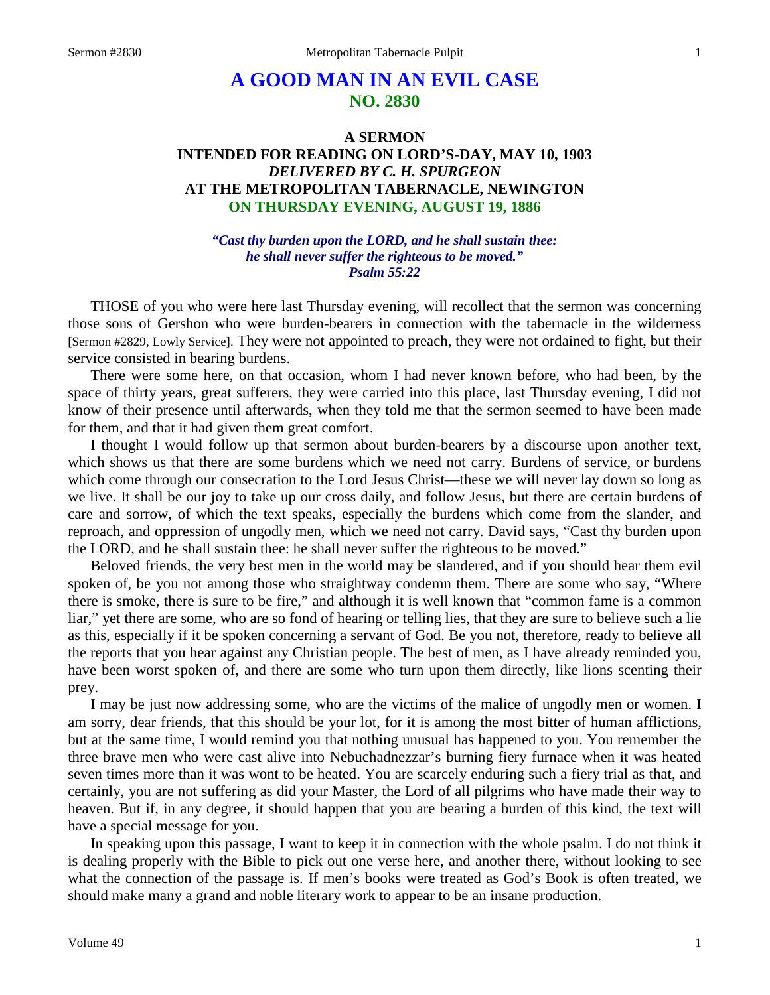# **A GOOD MAN IN AN EVIL CASE NO. 2830**

## **A SERMON INTENDED FOR READING ON LORD'S-DAY, MAY 10, 1903** *DELIVERED BY C. H. SPURGEON* **AT THE METROPOLITAN TABERNACLE, NEWINGTON ON THURSDAY EVENING, AUGUST 19, 1886**

*"Cast thy burden upon the LORD, and he shall sustain thee: he shall never suffer the righteous to be moved." Psalm 55:22*

THOSE of you who were here last Thursday evening, will recollect that the sermon was concerning those sons of Gershon who were burden-bearers in connection with the tabernacle in the wilderness [Sermon #2829, Lowly Service]. They were not appointed to preach, they were not ordained to fight, but their service consisted in bearing burdens.

There were some here, on that occasion, whom I had never known before, who had been, by the space of thirty years, great sufferers, they were carried into this place, last Thursday evening, I did not know of their presence until afterwards, when they told me that the sermon seemed to have been made for them, and that it had given them great comfort.

I thought I would follow up that sermon about burden-bearers by a discourse upon another text, which shows us that there are some burdens which we need not carry. Burdens of service, or burdens which come through our consecration to the Lord Jesus Christ—these we will never lay down so long as we live. It shall be our joy to take up our cross daily, and follow Jesus, but there are certain burdens of care and sorrow, of which the text speaks, especially the burdens which come from the slander, and reproach, and oppression of ungodly men, which we need not carry. David says, "Cast thy burden upon the LORD, and he shall sustain thee: he shall never suffer the righteous to be moved."

Beloved friends, the very best men in the world may be slandered, and if you should hear them evil spoken of, be you not among those who straightway condemn them. There are some who say, "Where there is smoke, there is sure to be fire," and although it is well known that "common fame is a common liar," yet there are some, who are so fond of hearing or telling lies, that they are sure to believe such a lie as this, especially if it be spoken concerning a servant of God. Be you not, therefore, ready to believe all the reports that you hear against any Christian people. The best of men, as I have already reminded you, have been worst spoken of, and there are some who turn upon them directly, like lions scenting their prey.

I may be just now addressing some, who are the victims of the malice of ungodly men or women. I am sorry, dear friends, that this should be your lot, for it is among the most bitter of human afflictions, but at the same time, I would remind you that nothing unusual has happened to you. You remember the three brave men who were cast alive into Nebuchadnezzar's burning fiery furnace when it was heated seven times more than it was wont to be heated. You are scarcely enduring such a fiery trial as that, and certainly, you are not suffering as did your Master, the Lord of all pilgrims who have made their way to heaven. But if, in any degree, it should happen that you are bearing a burden of this kind, the text will have a special message for you.

In speaking upon this passage, I want to keep it in connection with the whole psalm. I do not think it is dealing properly with the Bible to pick out one verse here, and another there, without looking to see what the connection of the passage is. If men's books were treated as God's Book is often treated, we should make many a grand and noble literary work to appear to be an insane production.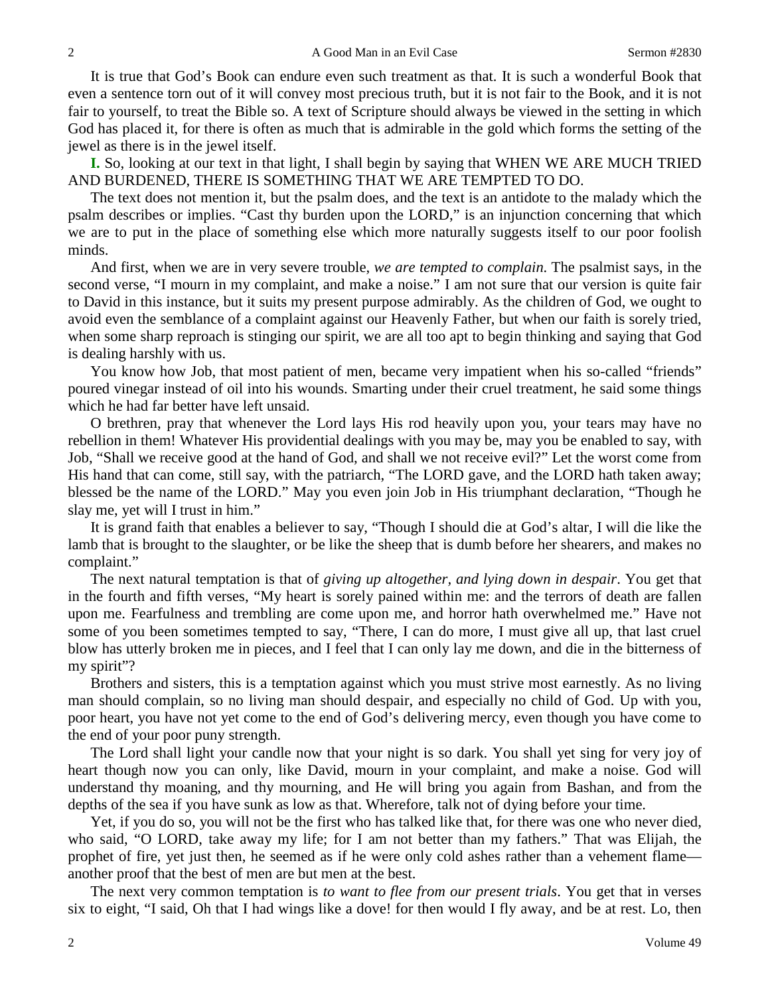It is true that God's Book can endure even such treatment as that. It is such a wonderful Book that even a sentence torn out of it will convey most precious truth, but it is not fair to the Book, and it is not fair to yourself, to treat the Bible so. A text of Scripture should always be viewed in the setting in which God has placed it, for there is often as much that is admirable in the gold which forms the setting of the jewel as there is in the jewel itself.

**I.** So, looking at our text in that light, I shall begin by saying that WHEN WE ARE MUCH TRIED AND BURDENED, THERE IS SOMETHING THAT WE ARE TEMPTED TO DO.

The text does not mention it, but the psalm does, and the text is an antidote to the malady which the psalm describes or implies. "Cast thy burden upon the LORD," is an injunction concerning that which we are to put in the place of something else which more naturally suggests itself to our poor foolish minds.

And first, when we are in very severe trouble, *we are tempted to complain*. The psalmist says, in the second verse, "I mourn in my complaint, and make a noise." I am not sure that our version is quite fair to David in this instance, but it suits my present purpose admirably. As the children of God, we ought to avoid even the semblance of a complaint against our Heavenly Father, but when our faith is sorely tried, when some sharp reproach is stinging our spirit, we are all too apt to begin thinking and saying that God is dealing harshly with us.

You know how Job, that most patient of men, became very impatient when his so-called "friends" poured vinegar instead of oil into his wounds. Smarting under their cruel treatment, he said some things which he had far better have left unsaid.

O brethren, pray that whenever the Lord lays His rod heavily upon you, your tears may have no rebellion in them! Whatever His providential dealings with you may be, may you be enabled to say, with Job, "Shall we receive good at the hand of God, and shall we not receive evil?" Let the worst come from His hand that can come, still say, with the patriarch, "The LORD gave, and the LORD hath taken away; blessed be the name of the LORD." May you even join Job in His triumphant declaration, "Though he slay me, yet will I trust in him."

It is grand faith that enables a believer to say, "Though I should die at God's altar, I will die like the lamb that is brought to the slaughter, or be like the sheep that is dumb before her shearers, and makes no complaint."

The next natural temptation is that of *giving up altogether, and lying down in despair*. You get that in the fourth and fifth verses, "My heart is sorely pained within me: and the terrors of death are fallen upon me. Fearfulness and trembling are come upon me, and horror hath overwhelmed me." Have not some of you been sometimes tempted to say, "There, I can do more, I must give all up, that last cruel blow has utterly broken me in pieces, and I feel that I can only lay me down, and die in the bitterness of my spirit"?

Brothers and sisters, this is a temptation against which you must strive most earnestly. As no living man should complain, so no living man should despair, and especially no child of God. Up with you, poor heart, you have not yet come to the end of God's delivering mercy, even though you have come to the end of your poor puny strength.

The Lord shall light your candle now that your night is so dark. You shall yet sing for very joy of heart though now you can only, like David, mourn in your complaint, and make a noise. God will understand thy moaning, and thy mourning, and He will bring you again from Bashan, and from the depths of the sea if you have sunk as low as that. Wherefore, talk not of dying before your time.

Yet, if you do so, you will not be the first who has talked like that, for there was one who never died, who said, "O LORD, take away my life; for I am not better than my fathers." That was Elijah, the prophet of fire, yet just then, he seemed as if he were only cold ashes rather than a vehement flame another proof that the best of men are but men at the best.

The next very common temptation is *to want to flee from our present trials*. You get that in verses six to eight, "I said, Oh that I had wings like a dove! for then would I fly away, and be at rest. Lo, then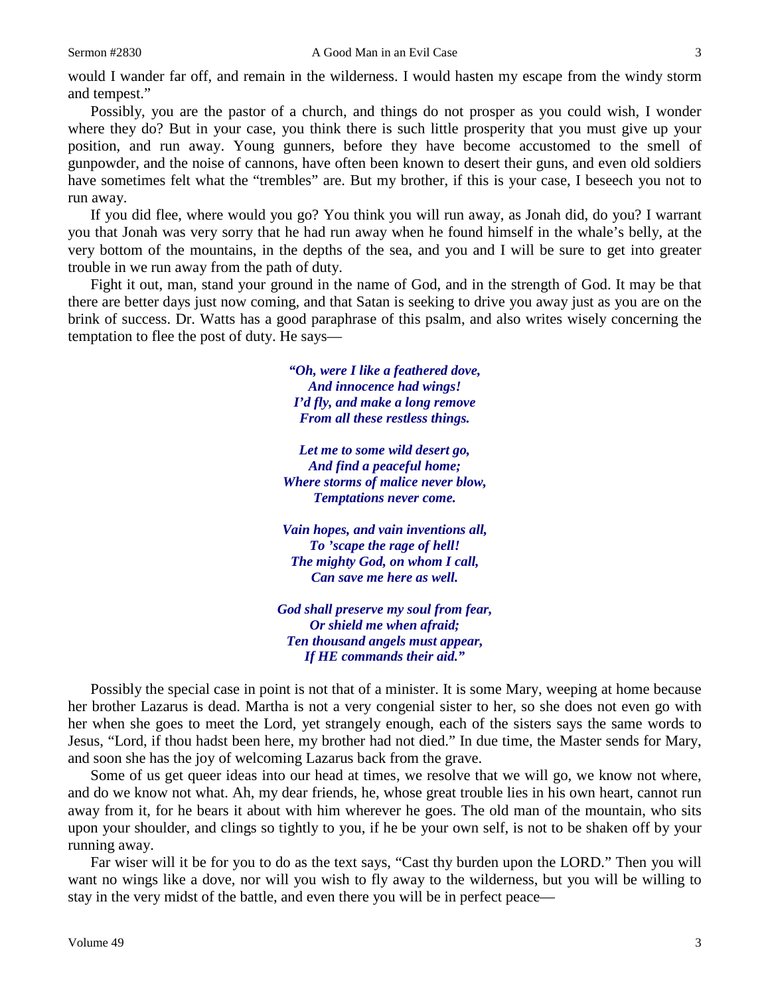would I wander far off, and remain in the wilderness. I would hasten my escape from the windy storm and tempest."

Possibly, you are the pastor of a church, and things do not prosper as you could wish, I wonder where they do? But in your case, you think there is such little prosperity that you must give up your position, and run away. Young gunners, before they have become accustomed to the smell of gunpowder, and the noise of cannons, have often been known to desert their guns, and even old soldiers have sometimes felt what the "trembles" are. But my brother, if this is your case, I beseech you not to run away.

If you did flee, where would you go? You think you will run away, as Jonah did, do you? I warrant you that Jonah was very sorry that he had run away when he found himself in the whale's belly, at the very bottom of the mountains, in the depths of the sea, and you and I will be sure to get into greater trouble in we run away from the path of duty.

Fight it out, man, stand your ground in the name of God, and in the strength of God. It may be that there are better days just now coming, and that Satan is seeking to drive you away just as you are on the brink of success. Dr. Watts has a good paraphrase of this psalm, and also writes wisely concerning the temptation to flee the post of duty. He says—

> *"Oh, were I like a feathered dove, And innocence had wings! I'd fly, and make a long remove From all these restless things.*

*Let me to some wild desert go, And find a peaceful home; Where storms of malice never blow, Temptations never come.*

*Vain hopes, and vain inventions all, To 'scape the rage of hell! The mighty God, on whom I call, Can save me here as well.*

*God shall preserve my soul from fear, Or shield me when afraid; Ten thousand angels must appear, If HE commands their aid."*

Possibly the special case in point is not that of a minister. It is some Mary, weeping at home because her brother Lazarus is dead. Martha is not a very congenial sister to her, so she does not even go with her when she goes to meet the Lord, yet strangely enough, each of the sisters says the same words to Jesus, "Lord, if thou hadst been here, my brother had not died." In due time, the Master sends for Mary, and soon she has the joy of welcoming Lazarus back from the grave.

Some of us get queer ideas into our head at times, we resolve that we will go, we know not where, and do we know not what. Ah, my dear friends, he, whose great trouble lies in his own heart, cannot run away from it, for he bears it about with him wherever he goes. The old man of the mountain, who sits upon your shoulder, and clings so tightly to you, if he be your own self, is not to be shaken off by your running away.

Far wiser will it be for you to do as the text says, "Cast thy burden upon the LORD." Then you will want no wings like a dove, nor will you wish to fly away to the wilderness, but you will be willing to stay in the very midst of the battle, and even there you will be in perfect peace—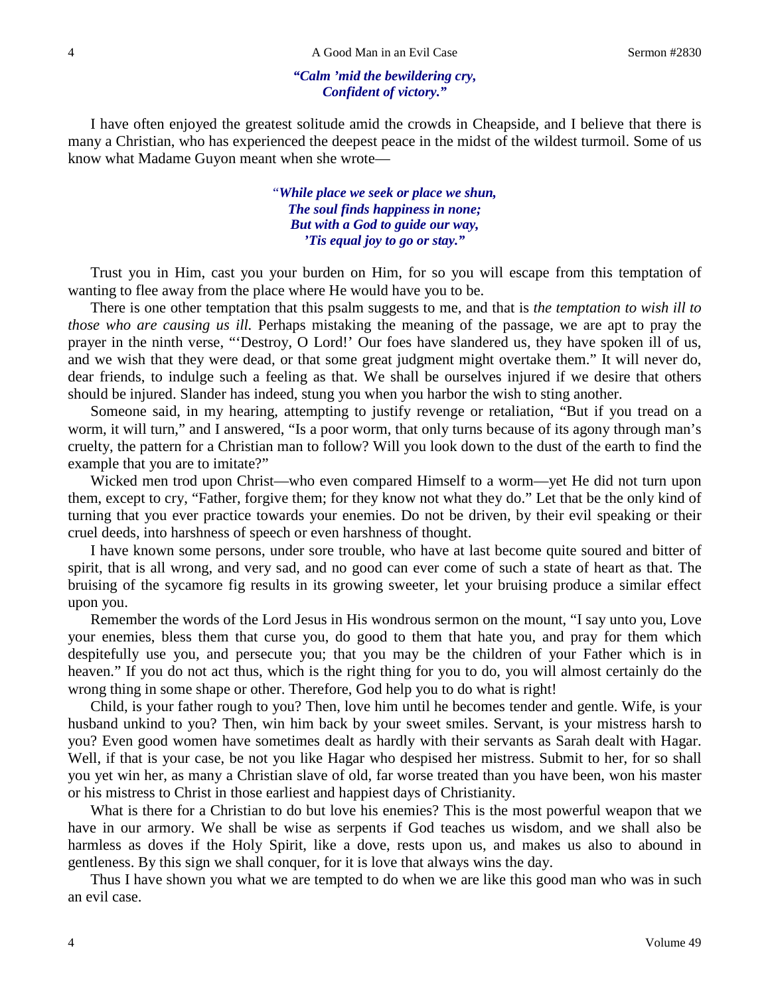#### *"Calm 'mid the bewildering cry, Confident of victory."*

I have often enjoyed the greatest solitude amid the crowds in Cheapside, and I believe that there is many a Christian, who has experienced the deepest peace in the midst of the wildest turmoil. Some of us know what Madame Guyon meant when she wrote—

> "*While place we seek or place we shun, The soul finds happiness in none; But with a God to guide our way, 'Tis equal joy to go or stay."*

Trust you in Him, cast you your burden on Him, for so you will escape from this temptation of wanting to flee away from the place where He would have you to be.

There is one other temptation that this psalm suggests to me, and that is *the temptation to wish ill to those who are causing us ill.* Perhaps mistaking the meaning of the passage, we are apt to pray the prayer in the ninth verse, "'Destroy, O Lord!' Our foes have slandered us, they have spoken ill of us, and we wish that they were dead, or that some great judgment might overtake them." It will never do, dear friends, to indulge such a feeling as that. We shall be ourselves injured if we desire that others should be injured. Slander has indeed, stung you when you harbor the wish to sting another.

Someone said, in my hearing, attempting to justify revenge or retaliation, "But if you tread on a worm, it will turn," and I answered, "Is a poor worm, that only turns because of its agony through man's cruelty, the pattern for a Christian man to follow? Will you look down to the dust of the earth to find the example that you are to imitate?"

Wicked men trod upon Christ—who even compared Himself to a worm—yet He did not turn upon them, except to cry, "Father, forgive them; for they know not what they do." Let that be the only kind of turning that you ever practice towards your enemies. Do not be driven, by their evil speaking or their cruel deeds, into harshness of speech or even harshness of thought.

I have known some persons, under sore trouble, who have at last become quite soured and bitter of spirit, that is all wrong, and very sad, and no good can ever come of such a state of heart as that. The bruising of the sycamore fig results in its growing sweeter, let your bruising produce a similar effect upon you.

Remember the words of the Lord Jesus in His wondrous sermon on the mount, "I say unto you, Love your enemies, bless them that curse you, do good to them that hate you, and pray for them which despitefully use you, and persecute you; that you may be the children of your Father which is in heaven." If you do not act thus, which is the right thing for you to do, you will almost certainly do the wrong thing in some shape or other. Therefore, God help you to do what is right!

Child, is your father rough to you? Then, love him until he becomes tender and gentle. Wife, is your husband unkind to you? Then, win him back by your sweet smiles. Servant, is your mistress harsh to you? Even good women have sometimes dealt as hardly with their servants as Sarah dealt with Hagar. Well, if that is your case, be not you like Hagar who despised her mistress. Submit to her, for so shall you yet win her, as many a Christian slave of old, far worse treated than you have been, won his master or his mistress to Christ in those earliest and happiest days of Christianity.

What is there for a Christian to do but love his enemies? This is the most powerful weapon that we have in our armory. We shall be wise as serpents if God teaches us wisdom, and we shall also be harmless as doves if the Holy Spirit, like a dove, rests upon us, and makes us also to abound in gentleness. By this sign we shall conquer, for it is love that always wins the day.

Thus I have shown you what we are tempted to do when we are like this good man who was in such an evil case.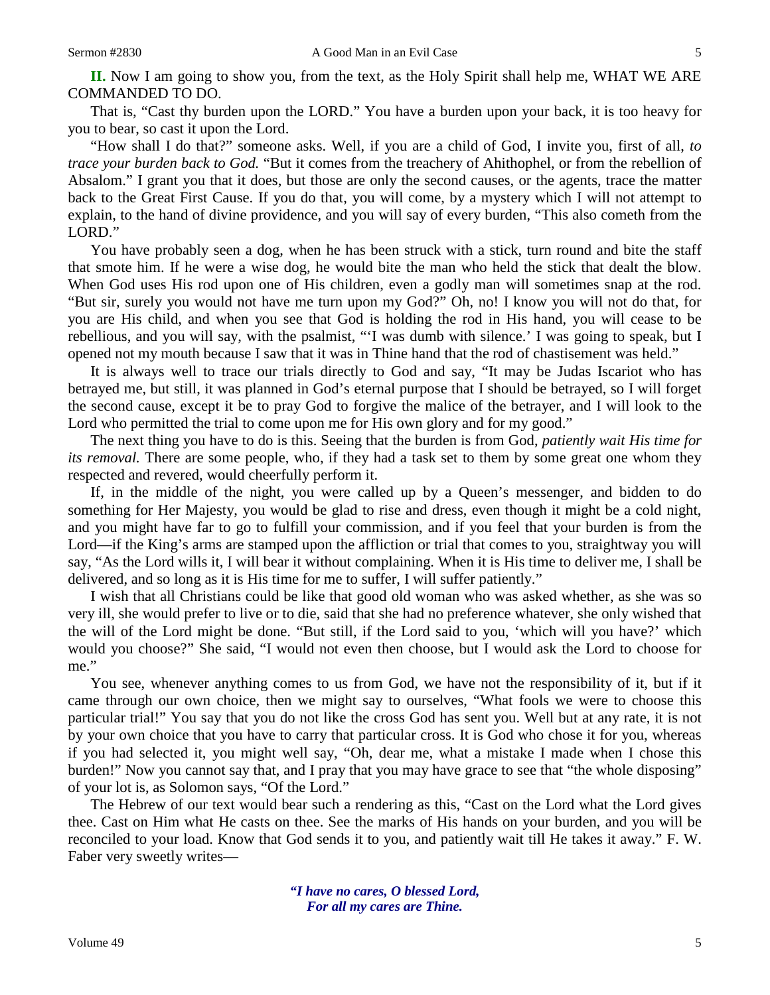**II.** Now I am going to show you, from the text, as the Holy Spirit shall help me, WHAT WE ARE COMMANDED TO DO.

That is, "Cast thy burden upon the LORD." You have a burden upon your back, it is too heavy for you to bear, so cast it upon the Lord.

"How shall I do that?" someone asks. Well, if you are a child of God, I invite you, first of all, *to trace your burden back to God.* "But it comes from the treachery of Ahithophel, or from the rebellion of Absalom." I grant you that it does, but those are only the second causes, or the agents, trace the matter back to the Great First Cause. If you do that, you will come, by a mystery which I will not attempt to explain, to the hand of divine providence, and you will say of every burden, "This also cometh from the LORD."

You have probably seen a dog, when he has been struck with a stick, turn round and bite the staff that smote him. If he were a wise dog, he would bite the man who held the stick that dealt the blow. When God uses His rod upon one of His children, even a godly man will sometimes snap at the rod. "But sir, surely you would not have me turn upon my God?" Oh, no! I know you will not do that, for you are His child, and when you see that God is holding the rod in His hand, you will cease to be rebellious, and you will say, with the psalmist, "'I was dumb with silence.' I was going to speak, but I opened not my mouth because I saw that it was in Thine hand that the rod of chastisement was held."

It is always well to trace our trials directly to God and say, "It may be Judas Iscariot who has betrayed me, but still, it was planned in God's eternal purpose that I should be betrayed, so I will forget the second cause, except it be to pray God to forgive the malice of the betrayer, and I will look to the Lord who permitted the trial to come upon me for His own glory and for my good."

The next thing you have to do is this. Seeing that the burden is from God, *patiently wait His time for its removal.* There are some people, who, if they had a task set to them by some great one whom they respected and revered, would cheerfully perform it.

If, in the middle of the night, you were called up by a Queen's messenger, and bidden to do something for Her Majesty, you would be glad to rise and dress, even though it might be a cold night, and you might have far to go to fulfill your commission, and if you feel that your burden is from the Lord—if the King's arms are stamped upon the affliction or trial that comes to you, straightway you will say, "As the Lord wills it, I will bear it without complaining. When it is His time to deliver me, I shall be delivered, and so long as it is His time for me to suffer, I will suffer patiently."

I wish that all Christians could be like that good old woman who was asked whether, as she was so very ill, she would prefer to live or to die, said that she had no preference whatever, she only wished that the will of the Lord might be done. "But still, if the Lord said to you, 'which will you have?' which would you choose?" She said, "I would not even then choose, but I would ask the Lord to choose for me."

You see, whenever anything comes to us from God, we have not the responsibility of it, but if it came through our own choice, then we might say to ourselves, "What fools we were to choose this particular trial!" You say that you do not like the cross God has sent you. Well but at any rate, it is not by your own choice that you have to carry that particular cross. It is God who chose it for you, whereas if you had selected it, you might well say, "Oh, dear me, what a mistake I made when I chose this burden!" Now you cannot say that, and I pray that you may have grace to see that "the whole disposing" of your lot is, as Solomon says, "Of the Lord."

The Hebrew of our text would bear such a rendering as this, "Cast on the Lord what the Lord gives thee. Cast on Him what He casts on thee. See the marks of His hands on your burden, and you will be reconciled to your load. Know that God sends it to you, and patiently wait till He takes it away." F. W. Faber very sweetly writes—

> *"I have no cares, O blessed Lord, For all my cares are Thine.*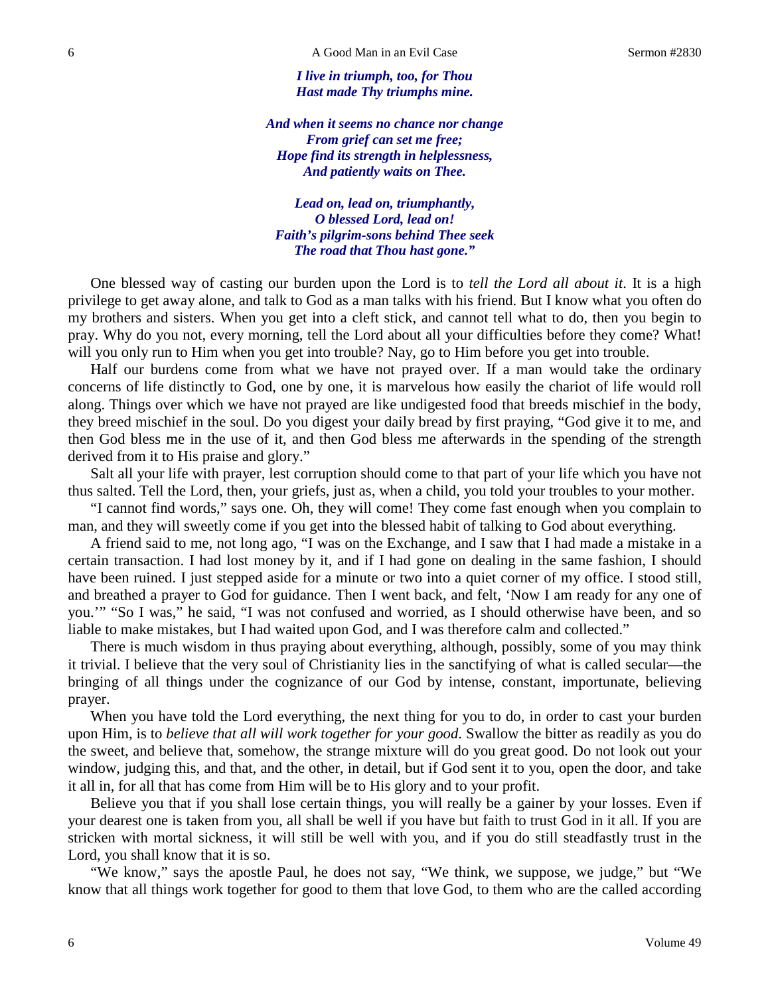*I live in triumph, too, for Thou Hast made Thy triumphs mine.*

*And when it seems no chance nor change From grief can set me free; Hope find its strength in helplessness, And patiently waits on Thee.*

*Lead on, lead on, triumphantly, O blessed Lord, lead on! Faith's pilgrim-sons behind Thee seek The road that Thou hast gone."*

One blessed way of casting our burden upon the Lord is to *tell the Lord all about it*. It is a high privilege to get away alone, and talk to God as a man talks with his friend. But I know what you often do my brothers and sisters. When you get into a cleft stick, and cannot tell what to do, then you begin to pray. Why do you not, every morning, tell the Lord about all your difficulties before they come? What! will you only run to Him when you get into trouble? Nay, go to Him before you get into trouble.

Half our burdens come from what we have not prayed over. If a man would take the ordinary concerns of life distinctly to God, one by one, it is marvelous how easily the chariot of life would roll along. Things over which we have not prayed are like undigested food that breeds mischief in the body, they breed mischief in the soul. Do you digest your daily bread by first praying, "God give it to me, and then God bless me in the use of it, and then God bless me afterwards in the spending of the strength derived from it to His praise and glory."

Salt all your life with prayer, lest corruption should come to that part of your life which you have not thus salted. Tell the Lord, then, your griefs, just as, when a child, you told your troubles to your mother.

"I cannot find words," says one. Oh, they will come! They come fast enough when you complain to man, and they will sweetly come if you get into the blessed habit of talking to God about everything.

A friend said to me, not long ago, "I was on the Exchange, and I saw that I had made a mistake in a certain transaction. I had lost money by it, and if I had gone on dealing in the same fashion, I should have been ruined. I just stepped aside for a minute or two into a quiet corner of my office. I stood still, and breathed a prayer to God for guidance. Then I went back, and felt, 'Now I am ready for any one of you.'" "So I was," he said, "I was not confused and worried, as I should otherwise have been, and so liable to make mistakes, but I had waited upon God, and I was therefore calm and collected."

There is much wisdom in thus praying about everything, although, possibly, some of you may think it trivial. I believe that the very soul of Christianity lies in the sanctifying of what is called secular—the bringing of all things under the cognizance of our God by intense, constant, importunate, believing prayer.

When you have told the Lord everything, the next thing for you to do, in order to cast your burden upon Him, is to *believe that all will work together for your good*. Swallow the bitter as readily as you do the sweet, and believe that, somehow, the strange mixture will do you great good. Do not look out your window, judging this, and that, and the other, in detail, but if God sent it to you, open the door, and take it all in, for all that has come from Him will be to His glory and to your profit.

Believe you that if you shall lose certain things, you will really be a gainer by your losses. Even if your dearest one is taken from you, all shall be well if you have but faith to trust God in it all. If you are stricken with mortal sickness, it will still be well with you, and if you do still steadfastly trust in the Lord, you shall know that it is so.

"We know," says the apostle Paul, he does not say, "We think, we suppose, we judge," but "We know that all things work together for good to them that love God, to them who are the called according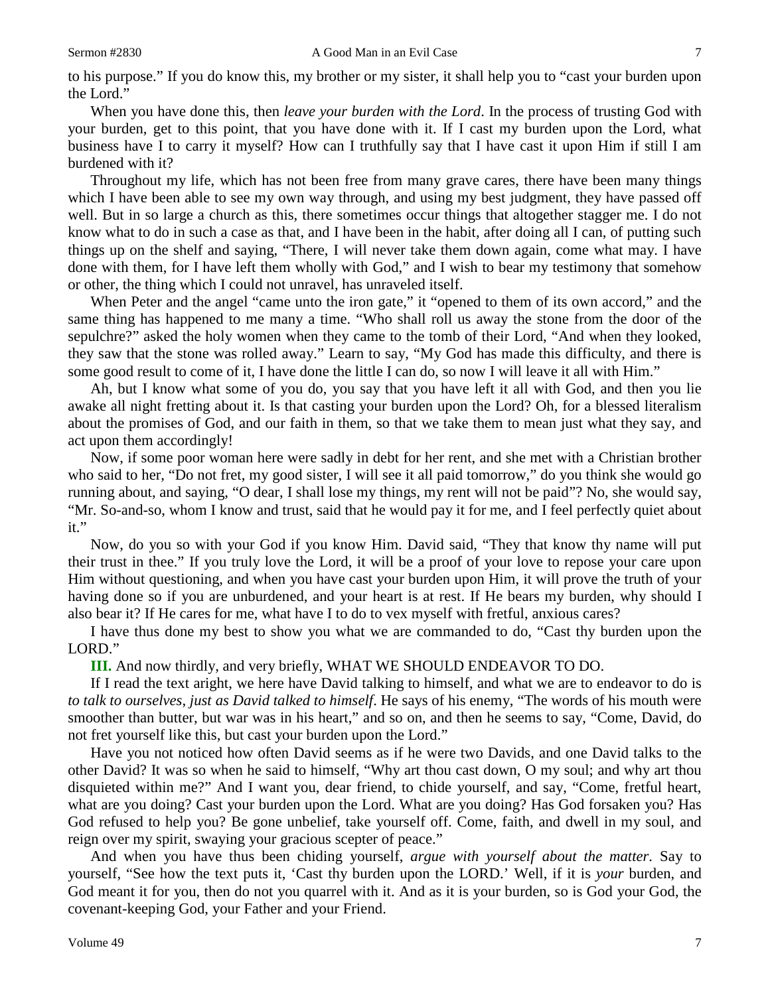to his purpose." If you do know this, my brother or my sister, it shall help you to "cast your burden upon the Lord."

When you have done this, then *leave your burden with the Lord*. In the process of trusting God with your burden, get to this point, that you have done with it. If I cast my burden upon the Lord, what business have I to carry it myself? How can I truthfully say that I have cast it upon Him if still I am burdened with it?

Throughout my life, which has not been free from many grave cares, there have been many things which I have been able to see my own way through, and using my best judgment, they have passed off well. But in so large a church as this, there sometimes occur things that altogether stagger me. I do not know what to do in such a case as that, and I have been in the habit, after doing all I can, of putting such things up on the shelf and saying, "There, I will never take them down again, come what may. I have done with them, for I have left them wholly with God," and I wish to bear my testimony that somehow or other, the thing which I could not unravel, has unraveled itself.

When Peter and the angel "came unto the iron gate," it "opened to them of its own accord," and the same thing has happened to me many a time. "Who shall roll us away the stone from the door of the sepulchre?" asked the holy women when they came to the tomb of their Lord, "And when they looked, they saw that the stone was rolled away." Learn to say, "My God has made this difficulty, and there is some good result to come of it, I have done the little I can do, so now I will leave it all with Him."

Ah, but I know what some of you do, you say that you have left it all with God, and then you lie awake all night fretting about it. Is that casting your burden upon the Lord? Oh, for a blessed literalism about the promises of God, and our faith in them, so that we take them to mean just what they say, and act upon them accordingly!

Now, if some poor woman here were sadly in debt for her rent, and she met with a Christian brother who said to her, "Do not fret, my good sister, I will see it all paid tomorrow," do you think she would go running about, and saying, "O dear, I shall lose my things, my rent will not be paid"? No, she would say, "Mr. So-and-so, whom I know and trust, said that he would pay it for me, and I feel perfectly quiet about it."

Now, do you so with your God if you know Him. David said, "They that know thy name will put their trust in thee." If you truly love the Lord, it will be a proof of your love to repose your care upon Him without questioning, and when you have cast your burden upon Him, it will prove the truth of your having done so if you are unburdened, and your heart is at rest. If He bears my burden, why should I also bear it? If He cares for me, what have I to do to vex myself with fretful, anxious cares?

I have thus done my best to show you what we are commanded to do, "Cast thy burden upon the LORD."

**III.** And now thirdly, and very briefly, WHAT WE SHOULD ENDEAVOR TO DO.

If I read the text aright, we here have David talking to himself, and what we are to endeavor to do is *to talk to ourselves, just as David talked to himself*. He says of his enemy, "The words of his mouth were smoother than butter, but war was in his heart," and so on, and then he seems to say, "Come, David, do not fret yourself like this, but cast your burden upon the Lord."

Have you not noticed how often David seems as if he were two Davids, and one David talks to the other David? It was so when he said to himself, "Why art thou cast down, O my soul; and why art thou disquieted within me?" And I want you, dear friend, to chide yourself, and say, "Come, fretful heart, what are you doing? Cast your burden upon the Lord. What are you doing? Has God forsaken you? Has God refused to help you? Be gone unbelief, take yourself off. Come, faith, and dwell in my soul, and reign over my spirit, swaying your gracious scepter of peace."

And when you have thus been chiding yourself, *argue with yourself about the matter*. Say to yourself, "See how the text puts it, 'Cast thy burden upon the LORD.' Well, if it is *your* burden, and God meant it for you, then do not you quarrel with it. And as it is your burden, so is God your God, the covenant-keeping God, your Father and your Friend.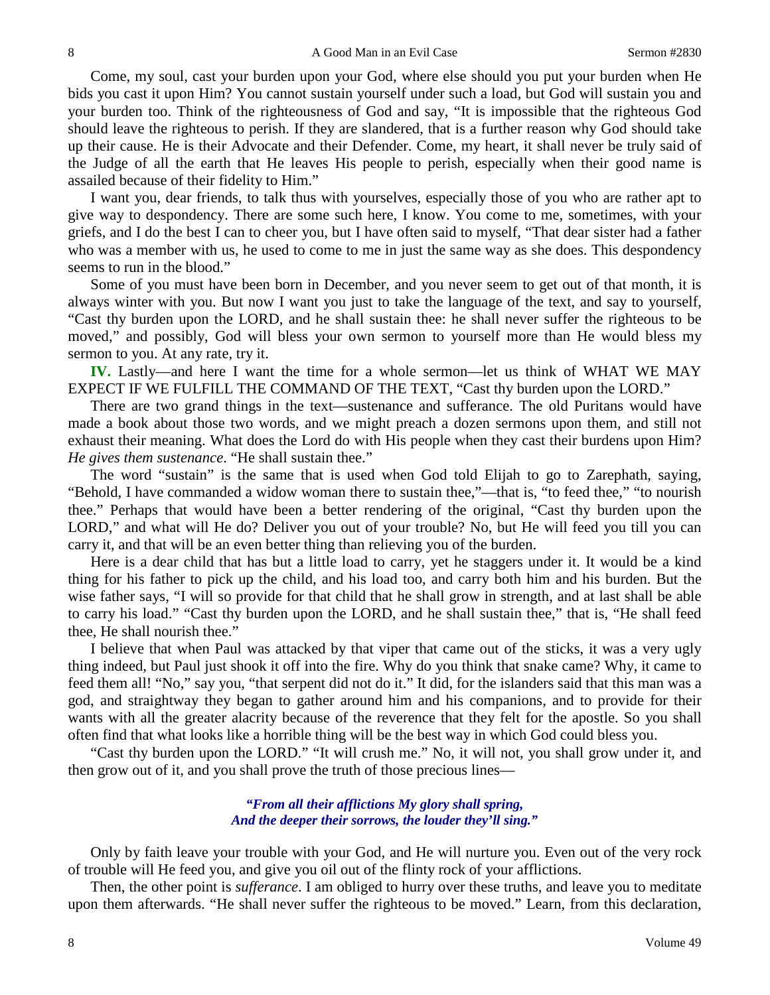Come, my soul, cast your burden upon your God, where else should you put your burden when He bids you cast it upon Him? You cannot sustain yourself under such a load, but God will sustain you and your burden too. Think of the righteousness of God and say, "It is impossible that the righteous God should leave the righteous to perish. If they are slandered, that is a further reason why God should take up their cause. He is their Advocate and their Defender. Come, my heart, it shall never be truly said of the Judge of all the earth that He leaves His people to perish, especially when their good name is assailed because of their fidelity to Him."

I want you, dear friends, to talk thus with yourselves, especially those of you who are rather apt to give way to despondency. There are some such here, I know. You come to me, sometimes, with your griefs, and I do the best I can to cheer you, but I have often said to myself, "That dear sister had a father who was a member with us, he used to come to me in just the same way as she does. This despondency seems to run in the blood."

Some of you must have been born in December, and you never seem to get out of that month, it is always winter with you. But now I want you just to take the language of the text, and say to yourself, "Cast thy burden upon the LORD, and he shall sustain thee: he shall never suffer the righteous to be moved," and possibly, God will bless your own sermon to yourself more than He would bless my sermon to you. At any rate, try it.

**IV.** Lastly—and here I want the time for a whole sermon—let us think of WHAT WE MAY EXPECT IF WE FULFILL THE COMMAND OF THE TEXT, "Cast thy burden upon the LORD."

There are two grand things in the text—sustenance and sufferance. The old Puritans would have made a book about those two words, and we might preach a dozen sermons upon them, and still not exhaust their meaning. What does the Lord do with His people when they cast their burdens upon Him? *He gives them sustenance*. "He shall sustain thee."

The word "sustain" is the same that is used when God told Elijah to go to Zarephath, saying, "Behold, I have commanded a widow woman there to sustain thee,"—that is, "to feed thee," "to nourish thee." Perhaps that would have been a better rendering of the original, "Cast thy burden upon the LORD," and what will He do? Deliver you out of your trouble? No, but He will feed you till you can carry it, and that will be an even better thing than relieving you of the burden.

Here is a dear child that has but a little load to carry, yet he staggers under it. It would be a kind thing for his father to pick up the child, and his load too, and carry both him and his burden. But the wise father says, "I will so provide for that child that he shall grow in strength, and at last shall be able to carry his load." "Cast thy burden upon the LORD, and he shall sustain thee," that is, "He shall feed thee, He shall nourish thee."

I believe that when Paul was attacked by that viper that came out of the sticks, it was a very ugly thing indeed, but Paul just shook it off into the fire. Why do you think that snake came? Why, it came to feed them all! "No," say you, "that serpent did not do it." It did, for the islanders said that this man was a god, and straightway they began to gather around him and his companions, and to provide for their wants with all the greater alacrity because of the reverence that they felt for the apostle. So you shall often find that what looks like a horrible thing will be the best way in which God could bless you.

"Cast thy burden upon the LORD." "It will crush me." No, it will not, you shall grow under it, and then grow out of it, and you shall prove the truth of those precious lines—

#### *"From all their afflictions My glory shall spring, And the deeper their sorrows, the louder they'll sing."*

Only by faith leave your trouble with your God, and He will nurture you. Even out of the very rock of trouble will He feed you, and give you oil out of the flinty rock of your afflictions.

Then, the other point is *sufferance*. I am obliged to hurry over these truths, and leave you to meditate upon them afterwards. "He shall never suffer the righteous to be moved." Learn, from this declaration,